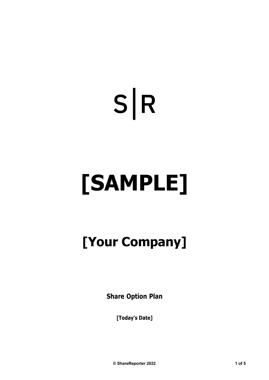# $S|R$

## **[SAMPLE]**

### **[Your Company]**

**Share Option Plan**

**[Today's Date]**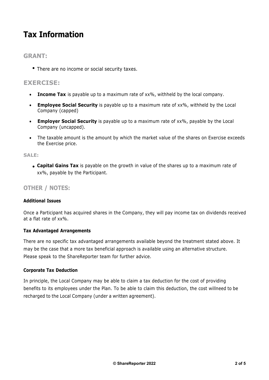#### **Tax Information**

#### **GRANT:**

There are no income or social security taxes.

#### **EXERCISE:**

- **Income Tax** is payable up to a maximum rate of xx%, withheld by the local company.
- **Employee Social Security** is payable up to a maximum rate of xx%, withheld by the Local Company (capped)
- **Employer Social Security** is payable up to a maximum rate of xx%, payable by the Local Company (uncapped).
- The taxable amount is the amount by which the market value of the shares on Exercise exceeds the Exercise price.

#### **SALE:**

**Capital Gains Tax** is payable on the growth in value of the shares up to a maximum rate of xx%, payable by the Participant.

#### **OTHER / NOTES:**

#### **Additional Issues**

Once a Participant has acquired shares in the Company, they will pay income tax on dividends received at a flat rate of xx%.

#### **Tax Advantaged Arrangements**

There are no specific tax advantaged arrangements available beyond the treatment stated above. It may be the case that a more tax beneficial approach is available using an alternative structure. Please speak to the ShareReporter team for further advice.

#### **Corporate Tax Deduction**

In principle, the Local Company may be able to claim a tax deduction for the cost of providing benefits to its employees under the Plan. To be able to claim this deduction, the cost willneed to be recharged to the Local Company (under a written agreement).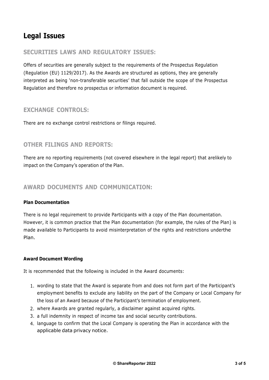#### **Legal Issues**

#### **SECURITIES LAWS AND REGULATORY ISSUES:**

Offers of securities are generally subject to the requirements of the Prospectus Regulation (Regulation (EU) 1129/2017). As the Awards are structured as options, they are generally interpreted as being 'non-transferable securities' that fall outside the scope of the Prospectus Regulation and therefore no prospectus or information document is required.

#### **EXCHANGE CONTROLS:**

There are no exchange control restrictions or filings required.

#### **OTHER FILINGS AND REPORTS:**

There are no reporting requirements (not covered elsewhere in the legal report) that arelikely to impact on the Company's operation of the Plan.

#### **AWARD DOCUMENTS AND COMMUNICATION:**

#### **Plan Documentation**

There is no legal requirement to provide Participants with a copy of the Plan documentation. However, it is common practice that the Plan documentation (for example, the rules of the Plan) is made available to Participants to avoid misinterpretation of the rights and restrictions underthe Plan.

#### **Award Document Wording**

It is recommended that the following is included in the Award documents:

- 1. wording to state that the Award is separate from and does not form part of the Participant's employment benefits to exclude any liability on the part of the Company or Local Company for the loss of an Award because of the Participant's termination of employment.
- 2. where Awards are granted regularly, a disclaimer against acquired rights.
- 3. a full indemnity in respect of income tax and social security contributions.
- 4. language to confirm that the Local Company is operating the Plan in accordance with the applicable data privacy notice.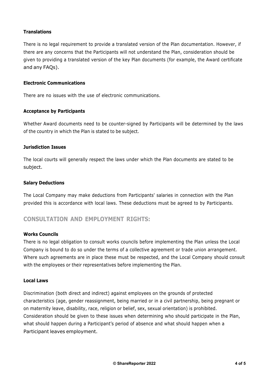#### **Translations**

There is no legal requirement to provide a translated version of the Plan documentation. However, if there are any concerns that the Participants will not understand the Plan, consideration should be given to providing a translated version of the key Plan documents (for example, the Award certificate and any FAQs).

#### **Electronic Communications**

There are no issues with the use of electronic communications.

#### **Acceptance by Participants**

Whether Award documents need to be counter-signed by Participants will be determined by the laws of the country in which the Plan is stated to be subject.

#### **Jurisdiction Issues**

The local courts will generally respect the laws under which the Plan documents are stated to be subject.

#### **Salary Deductions**

The Local Company may make deductions from Participants' salaries in connection with the Plan provided this is accordance with local laws. These deductions must be agreed to by Participants.

#### **CONSULTATION AND EMPLOYMENT RIGHTS:**

#### **Works Councils**

There is no legal obligation to consult works councils before implementing the Plan unless the Local Company is bound to do so under the terms of a collective agreement or trade union arrangement. Where such agreements are in place these must be respected, and the Local Company should consult with the employees or their representatives before implementing the Plan.

#### **Local Laws**

Discrimination (both direct and indirect) against employees on the grounds of protected characteristics (age, gender reassignment, being married or in a civil partnership, being pregnant or on maternity leave, disability, race, religion or belief, sex, sexual orientation) is prohibited. Consideration should be given to these issues when determining who should participate in the Plan, what should happen during a Participant's period of absence and what should happen when a Participant leaves employment.